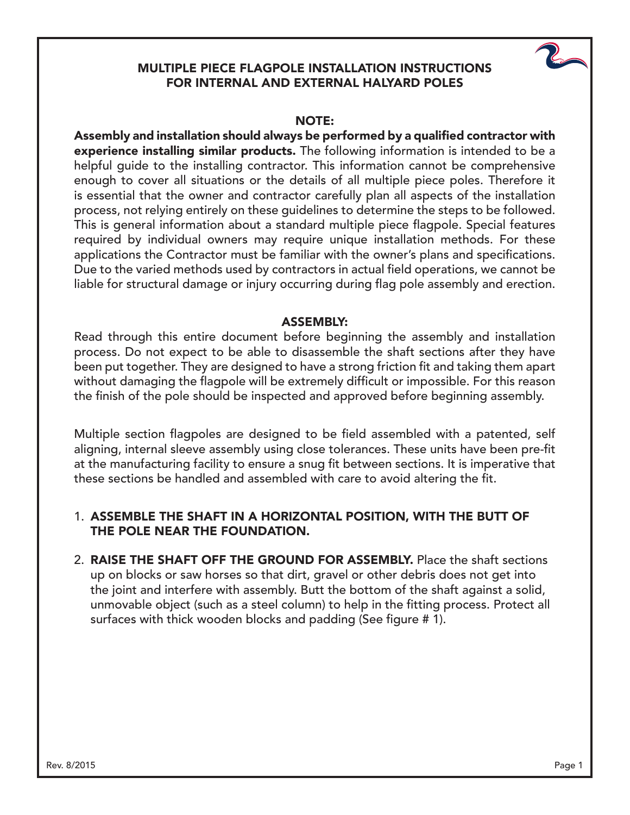### MULTIPLE PIECE FLAGPOLE INSTALLATION INSTRUCTIONS FOR INTERNAL AND EXTERNAL HALYARD POLES



### NOTE:

Assembly and installation should always be performed by a qualified contractor with experience installing similar products. The following information is intended to be a helpful guide to the installing contractor. This information cannot be comprehensive enough to cover all situations or the details of all multiple piece poles. Therefore it is essential that the owner and contractor carefully plan all aspects of the installation process, not relying entirely on these guidelines to determine the steps to be followed. This is general information about a standard multiple piece flagpole. Special features required by individual owners may require unique installation methods. For these applications the Contractor must be familiar with the owner's plans and specifications. Due to the varied methods used by contractors in actual field operations, we cannot be liable for structural damage or injury occurring during flag pole assembly and erection.

#### ASSEMBLY:

Read through this entire document before beginning the assembly and installation process. Do not expect to be able to disassemble the shaft sections after they have been put together. They are designed to have a strong friction fit and taking them apart without damaging the flagpole will be extremely difficult or impossible. For this reason the finish of the pole should be inspected and approved before beginning assembly.

Multiple section flagpoles are designed to be field assembled with a patented, self aligning, internal sleeve assembly using close tolerances. These units have been pre-fit at the manufacturing facility to ensure a snug fit between sections. It is imperative that these sections be handled and assembled with care to avoid altering the fit.

### 1. ASSEMBLE THE SHAFT IN A HORIZONTAL POSITION, WITH THE BUTT OF THE POLE NEAR THE FOUNDATION.

2. RAISE THE SHAFT OFF THE GROUND FOR ASSEMBLY. Place the shaft sections up on blocks or saw horses so that dirt, gravel or other debris does not get into the joint and interfere with assembly. Butt the bottom of the shaft against a solid, unmovable object (such as a steel column) to help in the fitting process. Protect all surfaces with thick wooden blocks and padding (See figure # 1).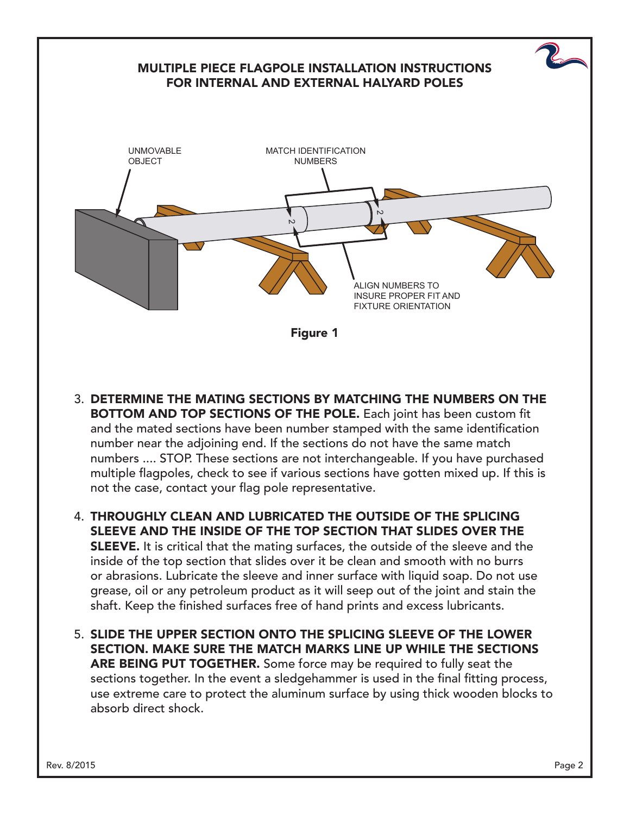# MULTIPLE PIECE FLAGPOLE INSTALLATION INSTRUCTIONS FOR INTERNAL AND EXTERNAL HALYARD POLES Figure 1 UNMOVABLE OBJECT MATCH IDENTIFICATION NUMBERS ALIGN NUMBERS TO INSURE PROPER FIT AND FIXTURE ORIENTATION  $\mathsf{c}$  $\mathsf{\omega}$

- 3. DETERMINE THE MATING SECTIONS BY MATCHING THE NUMBERS ON THE BOTTOM AND TOP SECTIONS OF THE POLE. Each joint has been custom fit and the mated sections have been number stamped with the same identification number near the adjoining end. If the sections do not have the same match numbers .... STOP. These sections are not interchangeable. If you have purchased multiple flagpoles, check to see if various sections have gotten mixed up. If this is not the case, contact your flag pole representative.
- 4. THROUGHLY CLEAN AND LUBRICATED THE OUTSIDE OF THE SPLICING SLEEVE AND THE INSIDE OF THE TOP SECTION THAT SLIDES OVER THE **SLEEVE.** It is critical that the mating surfaces, the outside of the sleeve and the inside of the top section that slides over it be clean and smooth with no burrs or abrasions. Lubricate the sleeve and inner surface with liquid soap. Do not use grease, oil or any petroleum product as it will seep out of the joint and stain the shaft. Keep the finished surfaces free of hand prints and excess lubricants.
- 5. SLIDE THE UPPER SECTION ONTO THE SPLICING SLEEVE OF THE LOWER SECTION. MAKE SURE THE MATCH MARKS LINE UP WHILE THE SECTIONS ARE BEING PUT TOGETHER. Some force may be required to fully seat the sections together. In the event a sledgehammer is used in the final fitting process, use extreme care to protect the aluminum surface by using thick wooden blocks to absorb direct shock.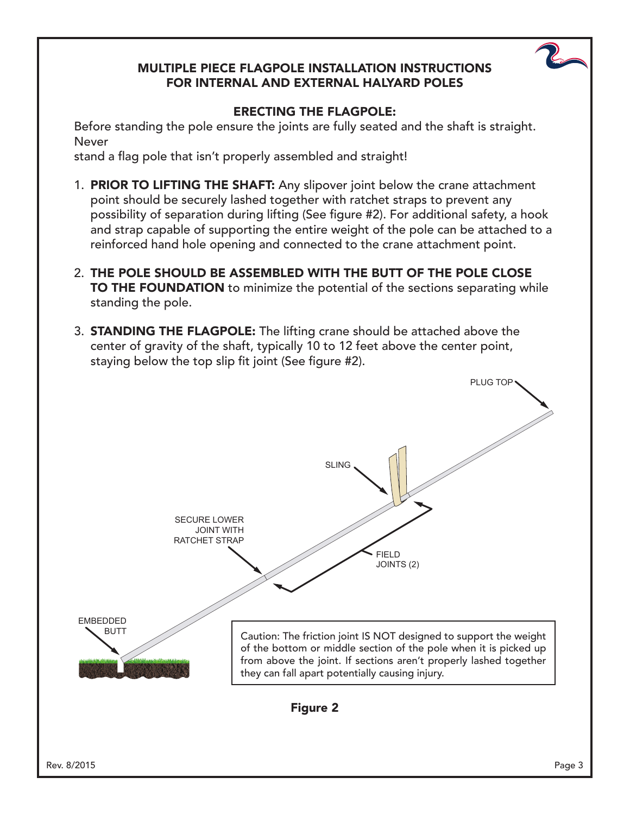### MULTIPLE PIECE FLAGPOLE INSTALLATION INSTRUCTIONS FOR INTERNAL AND EXTERNAL HALYARD POLES



Before standing the pole ensure the joints are fully seated and the shaft is straight. Never

stand a flag pole that isn't properly assembled and straight!

- 1. **PRIOR TO LIFTING THE SHAFT:** Any slipover joint below the crane attachment point should be securely lashed together with ratchet straps to prevent any possibility of separation during lifting (See figure #2). For additional safety, a hook and strap capable of supporting the entire weight of the pole can be attached to a reinforced hand hole opening and connected to the crane attachment point.
- 2. THE POLE SHOULD BE ASSEMBLED WITH THE BUTT OF THE POLE CLOSE TO THE FOUNDATION to minimize the potential of the sections separating while standing the pole.
- 3. STANDING THE FLAGPOLE: The lifting crane should be attached above the center of gravity of the shaft, typically 10 to 12 feet above the center point, staying below the top slip fit joint (See figure #2).